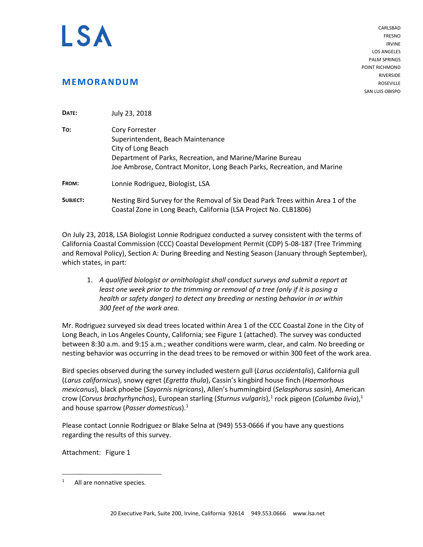

**MEMORANDUM**

CARLSBAD FRESNO IRVINE LOS ANGELES PALM SPRINGS POINT RICHMOND RIVERSIDE ROSEVILLE SAN LUIS OBISPO

| DATE:    | July 23, 2018                                                                                                                                                                                                     |
|----------|-------------------------------------------------------------------------------------------------------------------------------------------------------------------------------------------------------------------|
| To:      | Cory Forrester<br>Superintendent, Beach Maintenance<br>City of Long Beach<br>Department of Parks, Recreation, and Marine/Marine Bureau<br>Joe Ambrose, Contract Monitor, Long Beach Parks, Recreation, and Marine |
| FROM:    | Lonnie Rodriguez, Biologist, LSA                                                                                                                                                                                  |
| SUBJECT: | Nesting Bird Survey for the Removal of Six Dead Park Trees within Area 1 of the<br>Coastal Zone in Long Beach, California (LSA Project No. CLB1806)                                                               |

On July 23, 2018, LSA Biologist Lonnie Rodriguez conducted a survey consistent with the terms of California Coastal Commission (CCC) Coastal Development Permit (CDP) 5-08-187 (Tree Trimming and Removal Policy), Section A: During Breeding and Nesting Season (January through September), which states, in part:

1. *A qualified biologist or ornithologist shall conduct surveys and submit a report at least one week prior to the trimming or removal of a tree (only if it is posing a health or safety danger) to detect any breeding or nesting behavior in or within 300 feet of the work area.*

Mr. Rodriguez surveyed six dead trees located within Area 1 of the CCC Coastal Zone in the City of Long Beach, in Los Angeles County, California; see Figure 1 (attached). The survey was conducted between 8:30 a.m. and 9:15 a.m.; weather conditions were warm, clear, and calm. No breeding or nesting behavior was occurring in the dead trees to be removed or within 300 feet of the work area.

Bird species observed during the survey included western gull (*Larus occidentalis*), California gull (*Larus californicus*), snowy egret (*Egretta thula*), Cassin's kingbird house finch (*Haemorhous mexicanus*), black phoebe (*Sayornis nigricans*), Allen's hummingbird (*Selasphorus sasin*), American crow (*Corvus brachyrhynchos*), European starling (*Sturnus vulgaris*), [1](#page-0-0) rock pigeon (*Columba livia*), 1 and house sparrow (*Passer domesticus*). 1

Please contact Lonnie Rodriguez or Blake Selna at (949) 553-0666 if you have any questions regarding the results of this survey.

Attachment: Figure 1

<span id="page-0-0"></span><sup>&</sup>lt;sup>1</sup> All are nonnative species.